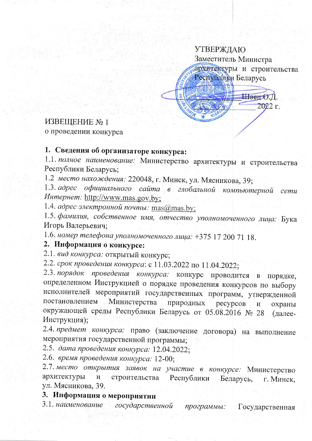# **УТВЕРЖДАЮ** Заместитель Министра архитектуры и строительства Республики Беларусь Швец О.Д. 2022 г.

#### ИЗВЕЩЕНИЕ № 1

о проведении конкурса

### 1. Сведения об организаторе конкурса:

1.1. полное наименование: Министерство архитектуры и строительства Республики Беларусь;

1.2 место нахождения: 220048, г. Минск, ул. Мясникова, 39;

1.3. адрес официального сайта в глобальной компьютерной сети Интернет: http://www.mas.gov.by;

1.4. адрес электронной почты: mas@mas.by;

1.5. фамилия, собственное имя, отчество уполномоченного лица: Бука Игорь Валерьевич;

1.6. номер телефона уполномоченного лица: +375 17 200 71 18.

#### 2. Информация о конкурсе:

2.1. вид конкурса: открытый конкурс;

2.2. срок проведения конкурса: с 11.03.2022 по 11.04.2022;

2.3. порядок проведения конкурса: конкурс проводится в порядке, определенном Инструкцией о порядке проведения конкурсов по выбору исполнителей мероприятий государственных программ, утвержденной постановлением Министерства природных ресурсов  $\overline{\mathbf{M}}$ охраны окружающей среды Республики Беларусь от 05.08.2016 № 28 (далее-Инструкция);

2.4. предмет конкурса: право (заключение договора) на выполнение мероприятия государственной программы;

2.5. дата проведения конкурса: 12.04.2022;

2.6. время проведения конкурса: 12-00;

2.7. место открытия заявок на участие в конкурсе: Министерство архитектуры строительства Республики  $\mathbf{M}$ Беларусь, г. Минск, ул. Мясникова, 39.

#### 3. Информация о мероприятии

3.1. наименование государственной программы: Государственная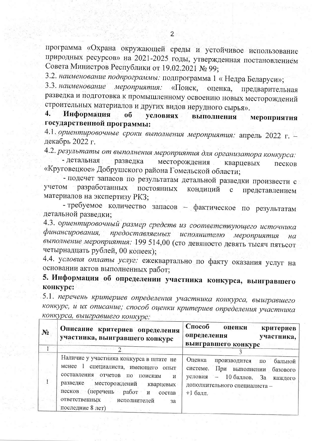программа «Охрана окружающей среды и устойчивое использование природных ресурсов» на 2021-2025 годы, утвержденная постановлением Совета Министров Республики от 19.02.2021 № 99;

3.2. наименование подпрограммы: подпрограмма 1 « Недра Беларуси»;

3.3. наименование мероприятия: «Поиск, оценка, предварительная разведка и подготовка к промышленному освоению новых месторождений строительных материалов и других видов нерудного сырья».

Информация  $\overline{4}$ . условиях выполнения  $\overline{\mathbf{0}}$ мероприятия государственной программы:

4.1. ориентировочные сроки выполнения мероприятия: апрель 2022 г. декабрь 2022 г.

4.2. результаты от выполнения мероприятия для организатора конкурса:

- детальная разведка месторождения кварцевых песков «Круговецкое» Добрушского района Гомельской области;

- подсчет запасов по результатам детальной разведки произвести с учетом разработанных постоянных кондиций представлением  $\mathbf{C}$ материалов на экспертизу РКЗ;

- требуемое количество запасов - фактическое по результатам детальной разведки;

4.3. ориентировочный размер средств из соответствующего источника финансирования, предоставляемых исполнителю мероприятия  $Ha$ выполнение мероприятия: 199 514,00 (сто девяносто девять тысяч пятьсот четырнадцать рублей, 00 копеек);

4.4. условия оплаты услуг: ежеквартально по факту оказания услуг на основании актов выполненных работ;

5. Информация об определении участника конкурса, выигравшего конкурс:

5.1. перечень критериев определения участника конкурса, выигравшего конкурс, и их описание; способ оценки критериев определения участника конкурса, выигравшего конкурс:

| $N_2$ | Описание критериев определения<br>участника, выигравшего конкурс                                                                                                                                                                                                                      | Способ<br>оценки<br>критериев<br>определения<br>участника,<br>выигравшего конкурс                                                                                                                            |
|-------|---------------------------------------------------------------------------------------------------------------------------------------------------------------------------------------------------------------------------------------------------------------------------------------|--------------------------------------------------------------------------------------------------------------------------------------------------------------------------------------------------------------|
|       |                                                                                                                                                                                                                                                                                       |                                                                                                                                                                                                              |
|       | Наличие у участника конкурса в штате не<br>$m$ ehee $1$<br>специалиста, имеющего<br>опыт<br>составления отчетов по<br>поискам<br>$-\mathbf{H}$<br>разведке месторождений<br>кварцевых<br>песков<br>перечень работ и<br>состав<br>ответственных исполнителей<br>за<br>последние 8 лет) | Оценка<br>производится<br>бальной  <br>$\Pi$ O<br>системе.<br>При выполнении<br>базового<br>условия<br>$10$ баллов, За<br>$\overline{\phantom{0}}$<br>каждого<br>дополнительного специалиста -<br>$+1$ балл. |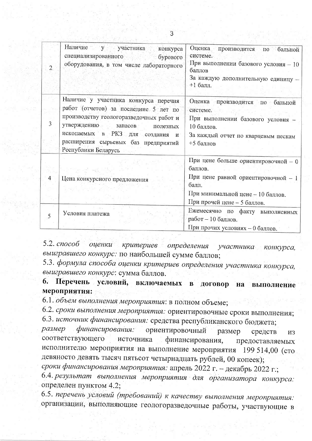| 2              | Наличие у участника конкурса<br>специализированного<br>бурового<br>оборудования, в том числе лабораторного                                                                                                                                                      | Оценка производится<br>по бальной<br>системе.<br>При выполнении базового условия - 10<br>баллов<br>За каждую дополнительную единицу -<br>$+1$ балл.                |
|----------------|-----------------------------------------------------------------------------------------------------------------------------------------------------------------------------------------------------------------------------------------------------------------|--------------------------------------------------------------------------------------------------------------------------------------------------------------------|
| 3              | Наличие у участника конкурса перечня<br>работ (отчетов) за последние 5 лет по<br>производству геологоразведочных работ и<br>утверждению запасов<br>полезных<br>ископаемых в РКЗ для создания<br>И<br>расширения сырьевых баз предприятий<br>Рёспублики Беларусь | Оценка производится по бальной<br>системе.<br>При выполнении базового условия -<br>10 баллов.<br>За каждый отчет по кварцевым пескам<br>+5 баллов                  |
| $\overline{4}$ | Цена конкурсного предложения                                                                                                                                                                                                                                    | При цене больше ориентировочной - 0<br>баллов.<br>При цене равной ориентировочной - 1<br>балл.<br>При минимальной цене - 10 баллов.<br>При прочей цене - 5 баллов. |
| 5              | Условия платежа                                                                                                                                                                                                                                                 | Ежемесячно по факту выполненных<br>работ - 10 баллов.<br>При прочих условиях - 0 баллов.                                                                           |

5.2. способ оценки критериев определения участника конкурса, выигравшего конкурс: по наибольшей сумме баллов;

5.3. формула способа оценки критериев определения участника конкурса, выигравшего конкурс: сумма баллов.

6. Перечень условий, включаемых в договор на **ВЫПОЛНЕНИЕ** мероприятия:

6.1. объем выполнения мероприятия: в полном объеме;

6.2. сроки выполнения мероприятия: ориентировочные сроки выполнения; 6.3. источник финансирования: средства республиканского бюджета;

финансирования: размер ориентировочный размер средств **ИЗ** соответствующего источника финансирования, предоставляемых исполнителю мероприятия на выполнение мероприятия 199 514,00 (сто девяносто девять тысяч пятьсот четырнадцать рублей, 00 копеек);

сроки финансирования мероприятия: апрель 2022 г. - декабрь 2022 г.;

6.4. результат выполнения мероприятия для организатора конкурса: определен пунктом 4.2:

6.5. перечень условий (требований) к качеству выполнения мероприятия: организации, выполняющие геологоразведочные работы, участвующие в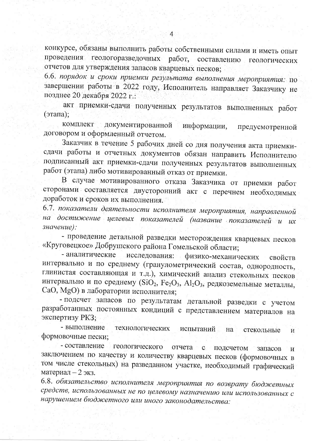конкурсе, обязаны выполнить работы собственными силами и иметь опыт геологоразведочных работ, составлению проведения геологических отчетов для утверждения запасов кварцевых песков;

6.6. порядок и сроки приемки результата выполнения мероприятия: по завершении работы в 2022 году, Исполнитель направляет Заказчику не позднее 20 декабря 2022 г.:

акт приемки-сдачи полученных результатов выполненных работ (этапа);

документированной комплект информации, предусмотренной договором и оформленный отчетом.

Заказчик в течение 5 рабочих дней со дня получения акта приемкисдачи работы и отчетных документов обязан направить Исполнителю подписанный акт приемки-сдачи полученных результатов выполненных работ (этапа) либо мотивированный отказ от приемки.

В случае мотивированного отказа Заказчика от приемки работ сторонами составляется двусторонний акт с перечнем необходимых доработок и сроков их выполнения.

6.7. показатели деятельности исполнителя мероприятия, направленной на достижение целевых показателей (название показателей и их значение):

- проведение детальной разведки месторождения кварцевых песков «Круговецкое» Добрушского района Гомельской области;

- аналитические исследования: физико-механических свойств интервально и по среднему (гранулометрический состав, однородность, глинистая составляющая и т.д.), химический анализ стекольных песков интервально и по среднему (SiO<sub>2</sub>, Fe<sub>2</sub>O<sub>3</sub>, Al<sub>2</sub>O<sub>3</sub>, редкоземельные металлы, СаО, MgO) в лаборатории исполнителя;

- подсчет запасов по результатам детальной разведки с учетом разработанных постоянных кондиций с представлением материалов на экспертизу РКЗ;

- выполнение технологических испытаний на стекольные  $\mathbf{M}$ формовочные пески;

- составление геологического отчета с подсчетом запасов И заключением по качеству и количеству кварцевых песков (формовочных в том числе стекольных) на разведанном участке, необходимый графический материал - 2 экз.

6.8. обязательство исполнителя мероприятия по возврату бюджетных средств, использованных не по целевому назначению или использованных с нарушением бюджетного или иного законодательства: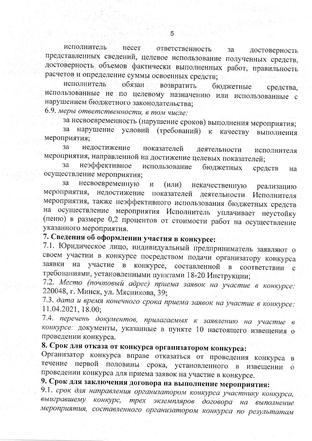исполнитель несет ответственность за достоверность представленных сведений, целевое использование полученных средств, достоверность объемов фактически выполненных работ, правильность расчетов и определение суммы освоенных средств;

исполнитель обязан возвратить бюджетные средства. использованные не по целевому назначению или использованные с нарушением бюджетного законодательства;

6.9. меры ответственности, в том числе:

за несвоевременность (нарушение сроков) выполнения мероприятия;

условий (требований) к качеству нарушение за выполнения мероприятия;

за недостижение показателей деятельности исполнителя мероприятия, направленной на достижение целевых показателей;

неэффективное за использование бюджетных средств на осуществление мероприятия;

несвоевременную  $3a$  $\mathbf{M}$  $(MJ)$ некачественную реализацию мероприятия. недостижение показателей деятельности Исполнителя мероприятия, также неэффективного использования бюджетных средств на осуществление мероприятия Исполнитель уплачивает неустойку (пеню) в размере 0,2 процентов от стоимости работ на осуществление указанного мероприятия.

### 7. Сведения об оформлении участия в конкурсе:

7.1. Юридическое лицо, индивидуальный предприниматель заявляют о своем участии в конкурсе посредством подачи организатору конкурса заявки на участие в конкурсе, составленной  $\overline{B}$ соответствии  $\mathbf{c}$ требованиями, установленными пунктами 18-20 Инструкции;

7.2. Место (почтовый адрес) приема заявок на участие в конкурсе: 220048, г. Минск, ул. Мясникова, 39;

7.3. дата и время конечного срока приема заявок на участие в конкурсе: 11.04.2021, 18.00:

7.4. перечень документов, прилагаемых к заявлению на участие в конкурсе: документы, указанные в пункте 10 настоящего извещения о проведении конкурса.

# 8. Срок для отказа от конкурса организатором конкурса:

Организатор конкурса вправе отказаться от проведения конкурса  $\mathbf{B}$ течение первой половины срока, установленного  $\bf{B}$ извещении  $\Omega$ проведении конкурса для приема заявок на участие в конкурсе.

## 9. Срок для заключения договора на выполнение мероприятия:

9.1. срок для направления организатором конкурса участнику конкурса, выигравшему трех экземпляров договора на выполнение конкурс, мероприятия, составленного организатором конкурса по результатам